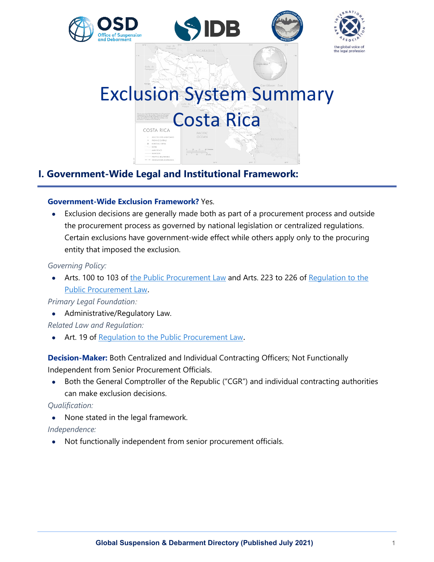





# Exclusion System Summary Costa Rica COSTA RICA

# **I. Government-Wide Legal and Institutional Framework:**

## **Government-Wide Exclusion Framework?** Yes.

• Exclusion decisions are generally made both as part of a procurement process and outside the procurement process as governed by national legislation or centralized regulations. Certain exclusions have government-wide effect while others apply only to the procuring entity that imposed the exclusion.

## *Governing Policy:*

• Arts. 100 to 103 of [the Public Procurement Law](http://www.pgrweb.go.cr/scij/Busqueda/Normativa/Normas/nrm_texto_completo.aspx?nValor1=1&nValor2=24284) and Arts. 223 to 226 of Regulation to the [Public Procurement Law](http://www.pgrweb.go.cr/scij/Busqueda/Normativa/Normas/nrm_texto_completo.aspx?nValor1=1&nValor2=58314).

# *Primary Legal Foundation:*

• Administrative/Regulatory Law.

*Related Law and Regulation:* 

• Art. 19 of [Regulation to the Public Procurement Law](http://www.pgrweb.go.cr/scij/Busqueda/Normativa/Normas/nrm_texto_completo.aspx?nValor1=1&nValor2=58314)[.](http://www.pgrweb.go.cr/scij/Busqueda/Normativa/Normas/nrm_texto_completo.aspx?nValor1=1&nValor2=58314)

**Decision-Maker:** Both Centralized and Individual Contracting Officers; Not Functionally Independent from Senior Procurement Officials.

• Both the General Comptroller of the Republic ("CGR") and individual contracting authorities can make exclusion decisions.

*Qualification:*

• None stated in the legal framework.

## *Independence:*

• Not functionally independent from senior procurement officials.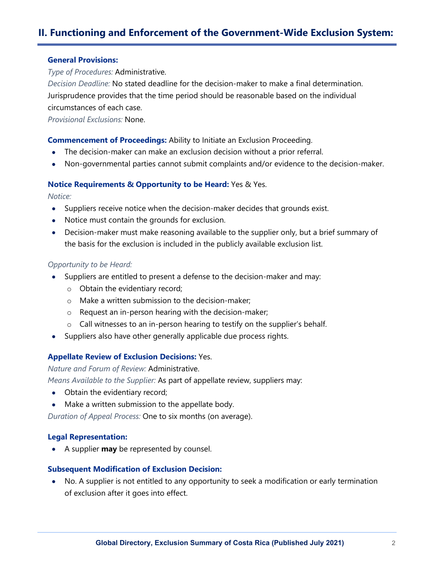# **II. Functioning and Enforcement of the Government-Wide Exclusion System:**

#### **General Provisions:**

#### *Type of Procedures:* Administrative.

*Decision Deadline:* No stated deadline for the decision-maker to make a final determination. Jurisprudence provides that the time period should be reasonable based on the individual circumstances of each case.

*Provisional Exclusions:* None.

#### **Commencement of Proceedings:** Ability to Initiate an Exclusion Proceeding.

- The decision-maker can make an exclusion decision without a prior referral.
- Non-governmental parties cannot submit complaints and/or evidence to the decision-maker.

## **Notice Requirements & Opportunity to be Heard:** Yes & Yes.

*Notice:*

- Suppliers receive notice when the decision-maker decides that grounds exist.
- Notice must contain the grounds for exclusion.
- Decision-maker must make reasoning available to the supplier only, but a brief summary of the basis for the exclusion is included in the publicly available exclusion list.

#### *Opportunity to be Heard:*

- Suppliers are entitled to present a defense to the decision-maker and may:
	- o Obtain the evidentiary record;
	- o Make a written submission to the decision-maker;
	- o Request an in-person hearing with the decision-maker;
	- o Call witnesses to an in-person hearing to testify on the supplier's behalf.
- Suppliers also have other generally applicable due process rights.

## **Appellate Review of Exclusion Decisions:** Yes.

*Nature and Forum of Review:* Administrative.

*Means Available to the Supplier:* As part of appellate review, suppliers may:

- Obtain the evidentiary record;
- Make a written submission to the appellate body.

*Duration of Appeal Process:* One to six months (on average).

#### **Legal Representation:**

• A supplier **may** be represented by counsel.

#### **Subsequent Modification of Exclusion Decision:**

• No. A supplier is not entitled to any opportunity to seek a modification or early termination of exclusion after it goes into effect.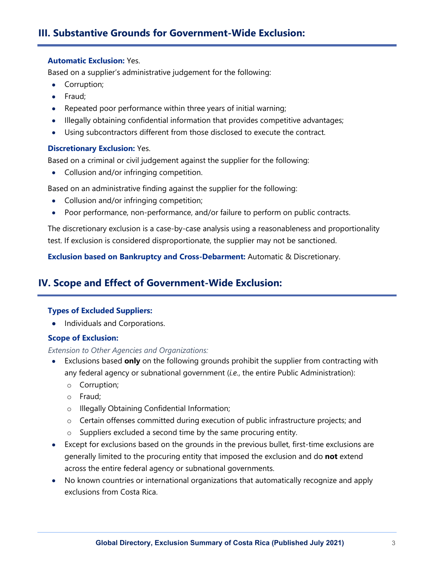# **III. Substantive Grounds for Government-Wide Exclusion:**

## **Automatic Exclusion:** Yes.

Based on a supplier's administrative judgement for the following:

- Corruption;
- Fraud;
- Repeated poor performance within three years of initial warning;
- Illegally obtaining confidential information that provides competitive advantages;
- Using subcontractors different from those disclosed to execute the contract.

## **Discretionary Exclusion:** Yes.

Based on a criminal or civil judgement against the supplier for the following:

• Collusion and/or infringing competition.

Based on an administrative finding against the supplier for the following:

- Collusion and/or infringing competition;
- Poor performance, non-performance, and/or failure to perform on public contracts.

The discretionary exclusion is a case-by-case analysis using a reasonableness and proportionality test. If exclusion is considered disproportionate, the supplier may not be sanctioned.

**Exclusion based on Bankruptcy and Cross-Debarment:** Automatic & Discretionary.

# **IV. Scope and Effect of Government-Wide Exclusion:**

## **Types of Excluded Suppliers:**

• Individuals and Corporations.

# **Scope of Exclusion:**

*Extension to Other Agencies and Organizations:*

- Exclusions based **only** on the following grounds prohibit the supplier from contracting with any federal agency or subnational government (*i.e.*, the entire Public Administration):
	- o Corruption;
	- o Fraud;
	- o Illegally Obtaining Confidential Information;
	- o Certain offenses committed during execution of public infrastructure projects; and
	- o Suppliers excluded a second time by the same procuring entity.
- Except for exclusions based on the grounds in the previous bullet, first-time exclusions are generally limited to the procuring entity that imposed the exclusion and do **not** extend across the entire federal agency or subnational governments.
- No known countries or international organizations that automatically recognize and apply exclusions from Costa Rica.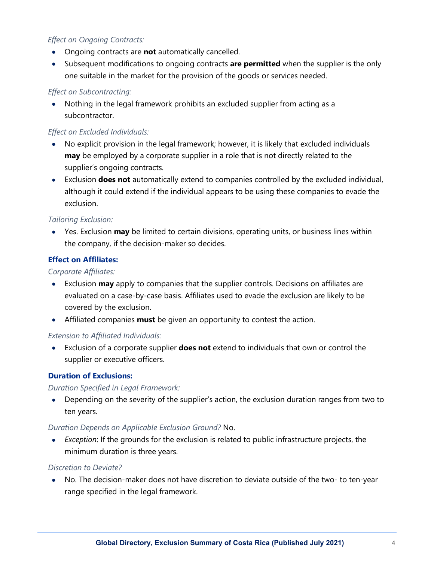# *Effect on Ongoing Contracts:*

- Ongoing contracts are **not** automatically cancelled.
- Subsequent modifications to ongoing contracts **are permitted** when the supplier is the only one suitable in the market for the provision of the goods or services needed.

# *Effect on Subcontracting:*

• Nothing in the legal framework prohibits an excluded supplier from acting as a subcontractor.

# *Effect on Excluded Individuals:*

- No explicit provision in the legal framework; however, it is likely that excluded individuals **may** be employed by a corporate supplier in a role that is not directly related to the supplier's ongoing contracts.
- Exclusion **does not** automatically extend to companies controlled by the excluded individual, although it could extend if the individual appears to be using these companies to evade the exclusion.

# *Tailoring Exclusion:*

• Yes. Exclusion **may** be limited to certain divisions, operating units, or business lines within the company, if the decision-maker so decides.

# **Effect on Affiliates:**

# *Corporate Affiliates:*

- Exclusion **may** apply to companies that the supplier controls. Decisions on affiliates are evaluated on a case-by-case basis. Affiliates used to evade the exclusion are likely to be covered by the exclusion.
- Affiliated companies **must** be given an opportunity to contest the action.

# *Extension to Affiliated Individuals:*

• Exclusion of a corporate supplier **does not** extend to individuals that own or control the supplier or executive officers.

# **Duration of Exclusions:**

# *Duration Specified in Legal Framework:*

• Depending on the severity of the supplier's action, the exclusion duration ranges from two to ten years.

# *Duration Depends on Applicable Exclusion Ground?* No.

• *Exception*: If the grounds for the exclusion is related to public infrastructure projects, the minimum duration is three years.

## *Discretion to Deviate?*

• No. The decision-maker does not have discretion to deviate outside of the two- to ten-year range specified in the legal framework.